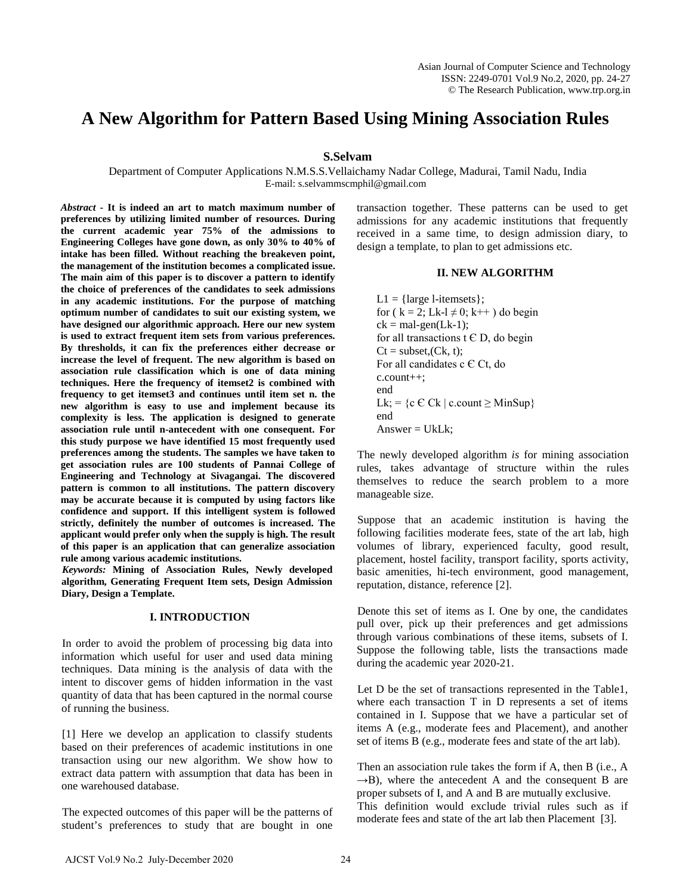# **A New Algorithm for Pattern Based Using Mining Association Rules**

## **S.Selvam**

Department of Computer Applications N.M.S.S.Vellaichamy Nadar College, Madurai, Tamil Nadu, India E-mail: s.selvammscmphil@gmail.com

*Abstract* **- It is indeed an art to match maximum number of preferences by utilizing limited number of resources. During the current academic year 75% of the admissions to Engineering Colleges have gone down, as only 30% to 40% of intake has been filled. Without reaching the breakeven point, the management of the institution becomes a complicated issue. The main aim of this paper is to discover a pattern to identify the choice of preferences of the candidates to seek admissions in any academic institutions. For the purpose of matching optimum number of candidates to suit our existing system, we have designed our algorithmic approach. Here our new system is used to extract frequent item sets from various preferences. By thresholds, it can fix the preferences either decrease or increase the level of frequent. The new algorithm is based on association rule classification which is one of data mining techniques. Here the frequency of itemset2 is combined with frequency to get itemset3 and continues until item set n. the new algorithm is easy to use and implement because its complexity is less. The application is designed to generate association rule until n-antecedent with one consequent. For this study purpose we have identified 15 most frequently used preferences among the students. The samples we have taken to get association rules are 100 students of Pannai College of Engineering and Technology at Sivagangai. The discovered pattern is common to all institutions. The pattern discovery may be accurate because it is computed by using factors like confidence and support. If this intelligent system is followed strictly, definitely the number of outcomes is increased. The applicant would prefer only when the supply is high. The result of this paper is an application that can generalize association rule among various academic institutions.**

*Keywords:* **Mining of Association Rules, Newly developed algorithm, Generating Frequent Item sets, Design Admission Diary, Design a Template.**

## **I. INTRODUCTION**

In order to avoid the problem of processing big data into information which useful for user and used data mining techniques. Data mining is the analysis of data with the intent to discover gems of hidden information in the vast quantity of data that has been captured in the normal course of running the business.

[1] Here we develop an application to classify students based on their preferences of academic institutions in one transaction using our new algorithm. We show how to extract data pattern with assumption that data has been in one warehoused database.

The expected outcomes of this paper will be the patterns of student's preferences to study that are bought in one transaction together. These patterns can be used to get admissions for any academic institutions that frequently received in a same time, to design admission diary, to design a template, to plan to get admissions etc.

## **II. NEW ALGORITHM**

 $L1 = \{large\$  l-itemsets  $\};$ for ( $k = 2$ ; Lk-l  $\neq$  0; k++) do begin  $ck = mal-gen(Lk-1)$ ; for all transactions  $t \in D$ , do begin  $Ct = subset(Ck, t);$ For all candidates  $c \in C_t$ , do c.count++; end Lk; = {c  $\in$  Ck | c.count  $\geq$  MinSup} end  $Answer = UkLk;$ 

The newly developed algorithm *is* for mining association rules, takes advantage of structure within the rules themselves to reduce the search problem to a more manageable size.

Suppose that an academic institution is having the following facilities moderate fees, state of the art lab, high volumes of library, experienced faculty, good result, placement, hostel facility, transport facility, sports activity, basic amenities, hi-tech environment, good management, reputation, distance, reference [2].

Denote this set of items as I. One by one, the candidates pull over, pick up their preferences and get admissions through various combinations of these items, subsets of I. Suppose the following table, lists the transactions made during the academic year 2020-21.

Let D be the set of transactions represented in the Table1, where each transaction T in D represents a set of items contained in I. Suppose that we have a particular set of items A (e.g., moderate fees and Placement), and another set of items B (e.g., moderate fees and state of the art lab).

Then an association rule takes the form if A, then B (i.e., A  $\rightarrow$ B), where the antecedent A and the consequent B are proper subsets of I, and A and B are mutually exclusive. This definition would exclude trivial rules such as if moderate fees and state of the art lab then Placement [3].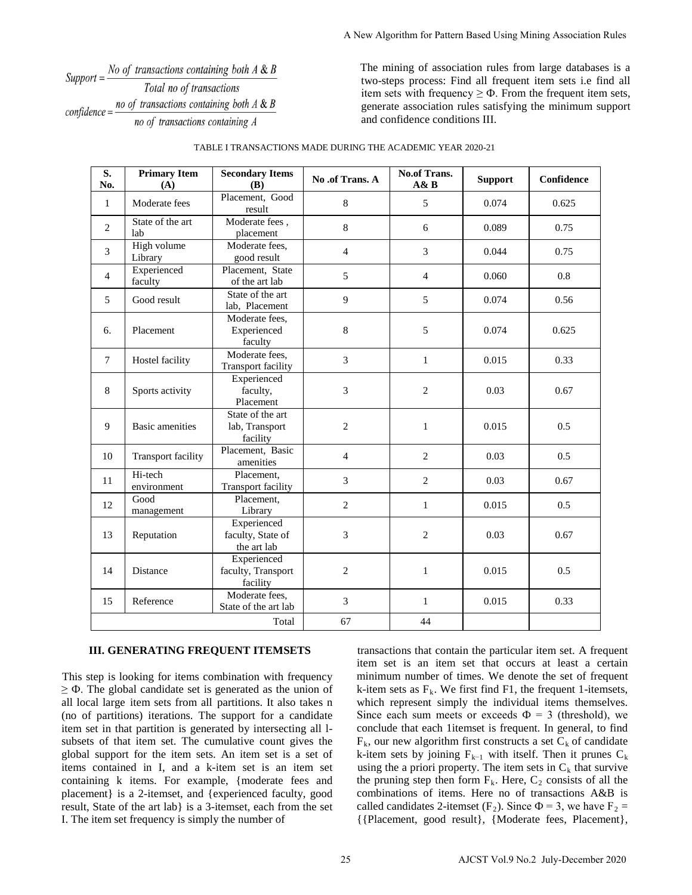Support =  $\frac{No \text{ of transactions containing both } A \& B}{T}$ Total no of transactions confidence =  $\frac{no \ of \ transactions \ containing \ both \ A \ & B}{no \ of \ transactions \ containing \ both \ A \ & B}$ no of transactions containing A

| $r = No$ of transactions containing both A & B<br>Total no of transactions<br>$hence = \frac{no \ of \ transactions \ containing \ both \ A \& B}$<br>no of transactions containing A |                                            |                                                                                                                                                                                                                                                                                                                                                                                                                                                                                                                                                                                                                                                                     | two-steps process: Find all frequent item sets i.e find al<br>item sets with frequency $\geq \Phi$ . From the frequent item sets<br>generate association rules satisfying the minimum suppor<br>and confidence conditions III. |                                                                                                                                                                                                                                                                                                                                                                                                                                                                                                                                                                                                                                                                                                                                                                                                                                                                                           |                                     |            |
|---------------------------------------------------------------------------------------------------------------------------------------------------------------------------------------|--------------------------------------------|---------------------------------------------------------------------------------------------------------------------------------------------------------------------------------------------------------------------------------------------------------------------------------------------------------------------------------------------------------------------------------------------------------------------------------------------------------------------------------------------------------------------------------------------------------------------------------------------------------------------------------------------------------------------|--------------------------------------------------------------------------------------------------------------------------------------------------------------------------------------------------------------------------------|-------------------------------------------------------------------------------------------------------------------------------------------------------------------------------------------------------------------------------------------------------------------------------------------------------------------------------------------------------------------------------------------------------------------------------------------------------------------------------------------------------------------------------------------------------------------------------------------------------------------------------------------------------------------------------------------------------------------------------------------------------------------------------------------------------------------------------------------------------------------------------------------|-------------------------------------|------------|
|                                                                                                                                                                                       |                                            | TABLE I TRANSACTIONS MADE DURING THE ACADEMIC YEAR 2020-21                                                                                                                                                                                                                                                                                                                                                                                                                                                                                                                                                                                                          |                                                                                                                                                                                                                                |                                                                                                                                                                                                                                                                                                                                                                                                                                                                                                                                                                                                                                                                                                                                                                                                                                                                                           |                                     |            |
| S.<br>No.                                                                                                                                                                             | <b>Primary Item</b><br>(A)                 | <b>Secondary Items</b><br>(B)                                                                                                                                                                                                                                                                                                                                                                                                                                                                                                                                                                                                                                       | No.of Trans. A                                                                                                                                                                                                                 | No.of Trans.<br>A&B                                                                                                                                                                                                                                                                                                                                                                                                                                                                                                                                                                                                                                                                                                                                                                                                                                                                       | <b>Support</b>                      | Confidence |
| $\mathbf{1}$                                                                                                                                                                          | Moderate fees                              | Placement, Good<br>result                                                                                                                                                                                                                                                                                                                                                                                                                                                                                                                                                                                                                                           | $\,8\,$                                                                                                                                                                                                                        | 5                                                                                                                                                                                                                                                                                                                                                                                                                                                                                                                                                                                                                                                                                                                                                                                                                                                                                         | 0.074                               | 0.625      |
| $\overline{c}$                                                                                                                                                                        | State of the art<br>lab                    | Moderate fees,<br>placement                                                                                                                                                                                                                                                                                                                                                                                                                                                                                                                                                                                                                                         | $\,8\,$                                                                                                                                                                                                                        | $6\,$                                                                                                                                                                                                                                                                                                                                                                                                                                                                                                                                                                                                                                                                                                                                                                                                                                                                                     | 0.089                               | 0.75       |
| 3                                                                                                                                                                                     | High volume<br>Library                     | Moderate fees,<br>good result                                                                                                                                                                                                                                                                                                                                                                                                                                                                                                                                                                                                                                       | $\overline{4}$                                                                                                                                                                                                                 | 3                                                                                                                                                                                                                                                                                                                                                                                                                                                                                                                                                                                                                                                                                                                                                                                                                                                                                         | 0.044                               | 0.75       |
| $\overline{4}$                                                                                                                                                                        | Experienced<br>faculty                     | Placement, State<br>of the art lab                                                                                                                                                                                                                                                                                                                                                                                                                                                                                                                                                                                                                                  | 5                                                                                                                                                                                                                              | 4                                                                                                                                                                                                                                                                                                                                                                                                                                                                                                                                                                                                                                                                                                                                                                                                                                                                                         | 0.060                               | 0.8        |
| 5                                                                                                                                                                                     | Good result                                | State of the art<br>lab, Placement                                                                                                                                                                                                                                                                                                                                                                                                                                                                                                                                                                                                                                  | 9                                                                                                                                                                                                                              | 5                                                                                                                                                                                                                                                                                                                                                                                                                                                                                                                                                                                                                                                                                                                                                                                                                                                                                         | 0.074                               | 0.56       |
| 6.                                                                                                                                                                                    | Placement                                  | Moderate fees,<br>Experienced<br>faculty                                                                                                                                                                                                                                                                                                                                                                                                                                                                                                                                                                                                                            | $\,8\,$                                                                                                                                                                                                                        | 5                                                                                                                                                                                                                                                                                                                                                                                                                                                                                                                                                                                                                                                                                                                                                                                                                                                                                         | 0.074                               | 0.625      |
| $\tau$                                                                                                                                                                                | Hostel facility                            | Moderate fees,<br>Transport facility                                                                                                                                                                                                                                                                                                                                                                                                                                                                                                                                                                                                                                | 3                                                                                                                                                                                                                              | $\mathbf{1}$                                                                                                                                                                                                                                                                                                                                                                                                                                                                                                                                                                                                                                                                                                                                                                                                                                                                              | 0.015                               | 0.33       |
| 8                                                                                                                                                                                     | Sports activity                            | Experienced<br>faculty,<br>Placement                                                                                                                                                                                                                                                                                                                                                                                                                                                                                                                                                                                                                                | 3                                                                                                                                                                                                                              | $\overline{2}$                                                                                                                                                                                                                                                                                                                                                                                                                                                                                                                                                                                                                                                                                                                                                                                                                                                                            | 0.03                                | 0.67       |
| 9                                                                                                                                                                                     | <b>Basic</b> amenities                     | State of the art<br>lab, Transport<br>facility                                                                                                                                                                                                                                                                                                                                                                                                                                                                                                                                                                                                                      | $\mathbf{2}$                                                                                                                                                                                                                   | 1                                                                                                                                                                                                                                                                                                                                                                                                                                                                                                                                                                                                                                                                                                                                                                                                                                                                                         | 0.015                               | 0.5        |
| 10                                                                                                                                                                                    | <b>Transport facility</b>                  | Placement, Basic<br>amenities                                                                                                                                                                                                                                                                                                                                                                                                                                                                                                                                                                                                                                       | $\overline{4}$                                                                                                                                                                                                                 | $\mathbf{2}$                                                                                                                                                                                                                                                                                                                                                                                                                                                                                                                                                                                                                                                                                                                                                                                                                                                                              | 0.03                                | 0.5        |
| 11                                                                                                                                                                                    | Hi-tech<br>environment                     | Placement,<br>Transport facility                                                                                                                                                                                                                                                                                                                                                                                                                                                                                                                                                                                                                                    | $\mathfrak{Z}$                                                                                                                                                                                                                 | 2                                                                                                                                                                                                                                                                                                                                                                                                                                                                                                                                                                                                                                                                                                                                                                                                                                                                                         | 0.03                                | 0.67       |
| 12                                                                                                                                                                                    | Good<br>management                         | Placement,<br>Library                                                                                                                                                                                                                                                                                                                                                                                                                                                                                                                                                                                                                                               | $\mathbf{2}$                                                                                                                                                                                                                   | $\mathbf{1}$                                                                                                                                                                                                                                                                                                                                                                                                                                                                                                                                                                                                                                                                                                                                                                                                                                                                              | 0.015                               | 0.5        |
| 13                                                                                                                                                                                    | Reputation                                 | Experienced<br>faculty, State of<br>the art lab                                                                                                                                                                                                                                                                                                                                                                                                                                                                                                                                                                                                                     | 3                                                                                                                                                                                                                              | 2                                                                                                                                                                                                                                                                                                                                                                                                                                                                                                                                                                                                                                                                                                                                                                                                                                                                                         | 0.03                                | 0.67       |
| 14                                                                                                                                                                                    | Distance                                   | Experienced<br>faculty, Transport<br>facility                                                                                                                                                                                                                                                                                                                                                                                                                                                                                                                                                                                                                       | $\overline{2}$                                                                                                                                                                                                                 | 1                                                                                                                                                                                                                                                                                                                                                                                                                                                                                                                                                                                                                                                                                                                                                                                                                                                                                         | 0.015                               | 0.5        |
| 15                                                                                                                                                                                    | Reference                                  | Moderate fees,<br>State of the art lab                                                                                                                                                                                                                                                                                                                                                                                                                                                                                                                                                                                                                              | 3                                                                                                                                                                                                                              | $\mathbf{1}$                                                                                                                                                                                                                                                                                                                                                                                                                                                                                                                                                                                                                                                                                                                                                                                                                                                                              | 0.015                               | 0.33       |
|                                                                                                                                                                                       |                                            | Total                                                                                                                                                                                                                                                                                                                                                                                                                                                                                                                                                                                                                                                               | 67                                                                                                                                                                                                                             | 44                                                                                                                                                                                                                                                                                                                                                                                                                                                                                                                                                                                                                                                                                                                                                                                                                                                                                        |                                     |            |
|                                                                                                                                                                                       |                                            | III. GENERATING FREQUENT ITEMSETS<br>tep is looking for items combination with frequency<br>The global candidate set is generated as the union of<br>al large item sets from all partitions. It also takes n<br>partitions) iterations. The support for a candidate<br>et in that partition is generated by intersecting all 1-<br>is of that item set. The cumulative count gives the<br>support for the item sets. An item set is a set of<br>contained in I, and a k-item set is an item set<br>ning k items. For example, {moderate fees and<br>nent} is a 2-itemset, and {experienced faculty, good<br>State of the art lab} is a 3-itemset, each from the set |                                                                                                                                                                                                                                | transactions that contain the particular item set. A frequent<br>item set is an item set that occurs at least a certain<br>minimum number of times. We denote the set of frequen<br>k-item sets as $F_k$ . We first find F1, the frequent 1-itemsets<br>which represent simply the individual items themselves<br>Since each sum meets or exceeds $\Phi = 3$ (threshold), we<br>conclude that each 1itemset is frequent. In general, to find<br>$F_k$ , our new algorithm first constructs a set $C_k$ of candidate<br>k-item sets by joining $F_{k-1}$ with itself. Then it prunes $C_1$<br>using the a priori property. The item sets in $C_k$ that survive<br>the pruning step then form $F_k$ . Here, $C_2$ consists of all the<br>combinations of items. Here no of transactions A&B is<br>called candidates 2-itemset (F <sub>2</sub> ). Since $\Phi$ = 3, we have F <sub>2</sub> = |                                     |            |
|                                                                                                                                                                                       | item set frequency is simply the number of |                                                                                                                                                                                                                                                                                                                                                                                                                                                                                                                                                                                                                                                                     | 25                                                                                                                                                                                                                             | {{Placement, good result}, {Moderate fees, Placement}                                                                                                                                                                                                                                                                                                                                                                                                                                                                                                                                                                                                                                                                                                                                                                                                                                     | AJCST Vol.9 No.2 July-December 2020 |            |

| TABLE I TRANSACTIONS MADE DURING THE ACADEMIC YEAR 2020-21 |
|------------------------------------------------------------|
|                                                            |

## **III. GENERATING FREQUENT ITEMSETS**

This step is looking for items combination with frequency  $\geq \Phi$ . The global candidate set is generated as the union of all local large item sets from all partitions. It also takes n (no of partitions) iterations. The support for a candidate item set in that partition is generated by intersecting all lsubsets of that item set. The cumulative count gives the global support for the item sets. An item set is a set of items contained in I, and a k-item set is an item set containing k items. For example, {moderate fees and placement} is a 2-itemset, and {experienced faculty, good result, State of the art lab} is a 3-itemset, each from the set I. The item set frequency is simply the number of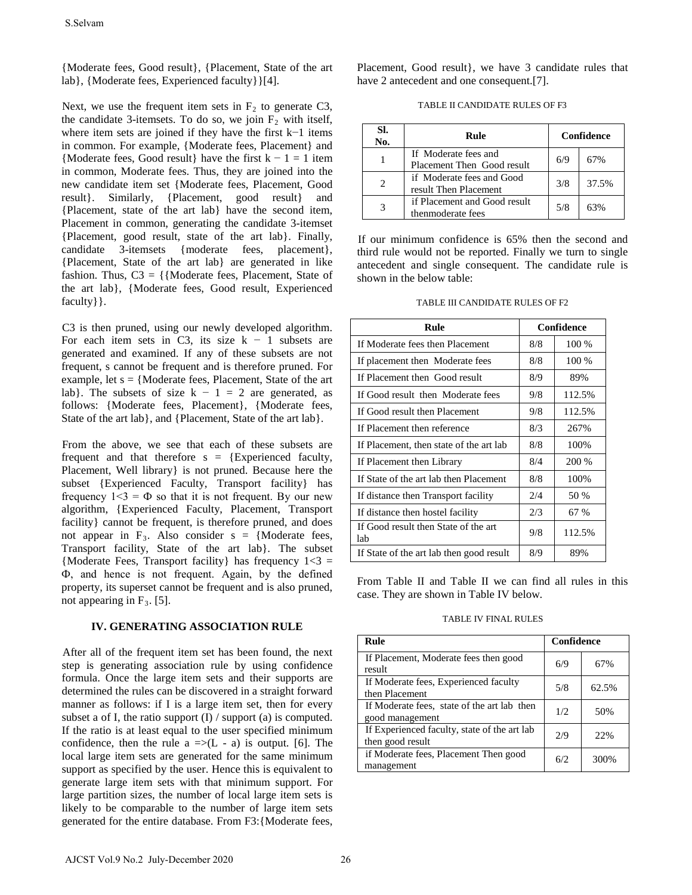{Moderate fees, Good result}, {Placement, State of the art lab}, {Moderate fees, Experienced faculty}}[4].

Next, we use the frequent item sets in  $F_2$  to generate C3, the candidate 3-itemsets. To do so, we join  $F_2$  with itself, where item sets are joined if they have the first k−1 items in common. For example, {Moderate fees, Placement} and {Moderate fees, Good result} have the first  $k - 1 = 1$  item in common, Moderate fees. Thus, they are joined into the new candidate item set {Moderate fees, Placement, Good result}. Similarly, {Placement, good result} and {Placement, state of the art lab} have the second item, Placement in common, generating the candidate 3-itemset {Placement, good result, state of the art lab}. Finally, candidate 3-itemsets {moderate fees, placement}, {Placement, State of the art lab} are generated in like fashion. Thus,  $C3 = \{ \text{Moderate fees}, \text{Placement}, \text{State of} \}$ the art lab}, {Moderate fees, Good result, Experienced faculty } }. SSelvam<br>
Moderate fees, Groad result}, [Phacement, State of the art<br>
ab), [Moderate fees, Experienced faculty]][4].<br>
[For the articular 3-increase is are proportion and  $E_1$  to  $\phi$  generate C3,<br>
be candidate 3-increase

C3 is then pruned, using our newly developed algorithm. For each item sets in C3, its size  $k - 1$  subsets are generated and examined. If any of these subsets are not frequent, s cannot be frequent and is therefore pruned. For example, let  $s = \{Modernate fees, Placement, State of the art$ lab}. The subsets of size  $k - 1 = 2$  are generated, as follows: {Moderate fees, Placement}, {Moderate fees, State of the art lab}, and {Placement, State of the art lab}.

From the above, we see that each of these subsets are frequent and that therefore  $s = {Expected}$  faculty, Placement, Well library} is not pruned. Because here the subset {Experienced Faculty, Transport facility} has frequency  $1 < 3 = \Phi$  so that it is not frequent. By our new algorithm, {Experienced Faculty, Placement, Transport facility} cannot be frequent, is therefore pruned, and does not appear in  $F_3$ . Also consider s = {Moderate fees, Transport facility, State of the art lab}. The subset {Moderate Fees, Transport facility} has frequency  $1 < 3 =$ Ф, and hence is not frequent. Again, by the defined property, its superset cannot be frequent and is also pruned, not appearing in  $F_3$ . [5].

## **IV. GENERATING ASSOCIATION RULE**

After all of the frequent item set has been found, the next step is generating association rule by using confidence formula. Once the large item sets and their supports are determined the rules can be discovered in a straight forward manner as follows: if I is a large item set, then for every subset a of I, the ratio support (I) / support (a) is computed. If the ratio is at least equal to the user specified minimum confidence, then the rule  $a \Rightarrow (L - a)$  is output. [6]. The local large item sets are generated for the same minimum support as specified by the user. Hence this is equivalent to generate large item sets with that minimum support. For large partition sizes, the number of local large item sets is likely to be comparable to the number of large item sets generated for the entire database. From F3:{Moderate fees,

Placement, Good result}, we have 3 candidate rules that have 2 antecedent and one consequent.[7].

| TABLE II CANDIDATE RULES OF F3 |  |  |
|--------------------------------|--|--|
|--------------------------------|--|--|

| SI.<br>No. | Rule                                               | Confidence |       |
|------------|----------------------------------------------------|------------|-------|
|            | If Moderate fees and<br>Placement Then Good result | 6/9        | 67%   |
| 2          | if Moderate fees and Good<br>result Then Placement | 3/8        | 37.5% |
|            | if Placement and Good result<br>thenmoderate fees  | 5/8        | 63%   |

If our minimum confidence is 65% then the second and third rule would not be reported. Finally we turn to single antecedent and single consequent. The candidate rule is shown in the below table:

## TABLE III CANDIDATE RULES OF F2

| Rule                                        | Confidence |         |  |
|---------------------------------------------|------------|---------|--|
| If Moderate fees then Placement             | 8/8        | $100\%$ |  |
| If placement then Moderate fees             | 8/8        | 100 %   |  |
| If Placement then Good result               | 8/9        | 89%     |  |
| If Good result then Moderate fees           | 9/8        | 112.5%  |  |
| If Good result then Placement               | 9/8        | 112.5%  |  |
| If Placement then reference                 | 8/3        | 267%    |  |
| If Placement, then state of the art lab     | 8/8        | 100%    |  |
| If Placement then Library                   | 8/4        | 200 %   |  |
| If State of the art lab then Placement      | 8/8        | 100%    |  |
| If distance then Transport facility         | 2/4        | 50 %    |  |
| If distance then hostel facility            | 2/3        | 67 %    |  |
| If Good result then State of the art<br>lab | 9/8        | 112.5%  |  |
| If State of the art lab then good result    | 8/9        | 89%     |  |

From Table II and Table II we can find all rules in this case. They are shown in Table IV below.

## TABLE IV FINAL RULES

| Rule                                                             | Confidence |       |
|------------------------------------------------------------------|------------|-------|
| If Placement, Moderate fees then good<br>result                  | 6/9        | 67%   |
| If Moderate fees, Experienced faculty<br>then Placement          | 5/8        | 62.5% |
| If Moderate fees, state of the art lab then<br>good management   | 1/2        | 50%   |
| If Experienced faculty, state of the art lab<br>then good result | 2/9        | 22%   |
| if Moderate fees, Placement Then good<br>management              | 6/2        | 300%  |